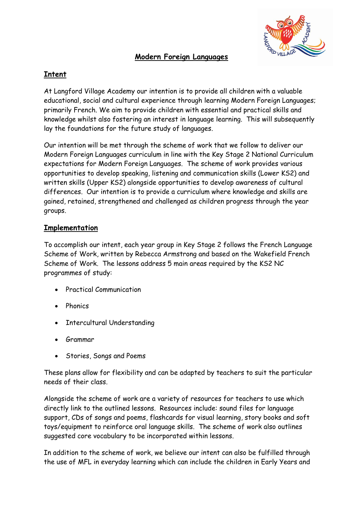## **Modern Foreign Languages**



## **Intent**

At Langford Village Academy our intention is to provide all children with a valuable educational, social and cultural experience through learning Modern Foreign Languages; primarily French. We aim to provide children with essential and practical skills and knowledge whilst also fostering an interest in language learning. This will subsequently lay the foundations for the future study of languages.

Our intention will be met through the scheme of work that we follow to deliver our Modern Foreign Languages curriculum in line with the Key Stage 2 National Curriculum expectations for Modern Foreign Languages. The scheme of work provides various opportunities to develop speaking, listening and communication skills (Lower KS2) and written skills (Upper KS2) alongside opportunities to develop awareness of cultural differences. Our intention is to provide a curriculum where knowledge and skills are gained, retained, strengthened and challenged as children progress through the year groups.

## **Implementation**

To accomplish our intent, each year group in Key Stage 2 follows the French Language Scheme of Work, written by Rebecca Armstrong and based on the Wakefield French Scheme of Work. The lessons address 5 main areas required by the KS2 NC programmes of study:

- Practical Communication
- Phonics
- Intercultural Understanding
- Grammar
- Stories, Songs and Poems

These plans allow for flexibility and can be adapted by teachers to suit the particular needs of their class.

Alongside the scheme of work are a variety of resources for teachers to use which directly link to the outlined lessons. Resources include: sound files for language support, CDs of songs and poems, flashcards for visual learning, story books and soft toys/equipment to reinforce oral language skills. The scheme of work also outlines suggested core vocabulary to be incorporated within lessons.

In addition to the scheme of work, we believe our intent can also be fulfilled through the use of MFL in everyday learning which can include the children in Early Years and